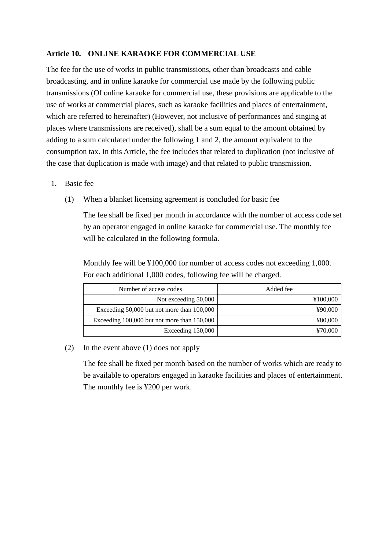## **Article 10. ONLINE KARAOKE FOR COMMERCIAL USE**

The fee for the use of works in public transmissions, other than broadcasts and cable broadcasting, and in online karaoke for commercial use made by the following public transmissions (Of online karaoke for commercial use, these provisions are applicable to the use of works at commercial places, such as karaoke facilities and places of entertainment, which are referred to hereinafter) (However, not inclusive of performances and singing at places where transmissions are received), shall be a sum equal to the amount obtained by adding to a sum calculated under the following 1 and 2, the amount equivalent to the consumption tax. In this Article, the fee includes that related to duplication (not inclusive of the case that duplication is made with image) and that related to public transmission.

- 1. Basic fee
	- (1) When a blanket licensing agreement is concluded for basic fee

The fee shall be fixed per month in accordance with the number of access code set by an operator engaged in online karaoke for commercial use. The monthly fee will be calculated in the following formula.

Monthly fee will be ¥100,000 for number of access codes not exceeding 1,000. For each additional 1,000 codes, following fee will be charged.

| Number of access codes                      | Added fee |
|---------------------------------------------|-----------|
| Not exceeding 50,000                        | ¥100,000  |
| Exceeding 50,000 but not more than 100,000  | ¥90,000   |
| Exceeding 100,000 but not more than 150,000 | ¥80,000   |
| Exceeding 150,000                           | ¥70,000   |

## (2) In the event above (1) does not apply

The fee shall be fixed per month based on the number of works which are ready to be available to operators engaged in karaoke facilities and places of entertainment. The monthly fee is ¥200 per work.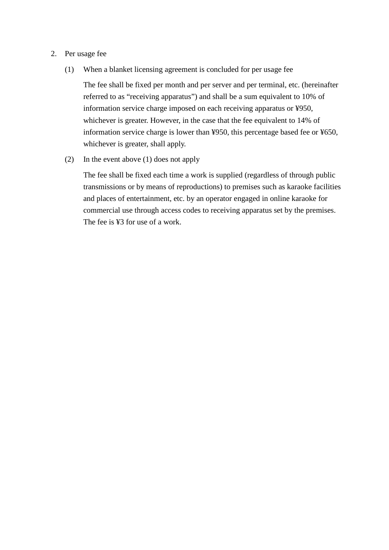## 2. Per usage fee

(1) When a blanket licensing agreement is concluded for per usage fee

The fee shall be fixed per month and per server and per terminal, etc. (hereinafter referred to as "receiving apparatus") and shall be a sum equivalent to 10% of information service charge imposed on each receiving apparatus or ¥950, whichever is greater. However, in the case that the fee equivalent to 14% of information service charge is lower than ¥950, this percentage based fee or ¥650, whichever is greater, shall apply.

(2) In the event above (1) does not apply

The fee shall be fixed each time a work is supplied (regardless of through public transmissions or by means of reproductions) to premises such as karaoke facilities and places of entertainment, etc. by an operator engaged in online karaoke for commercial use through access codes to receiving apparatus set by the premises. The fee is ¥3 for use of a work.